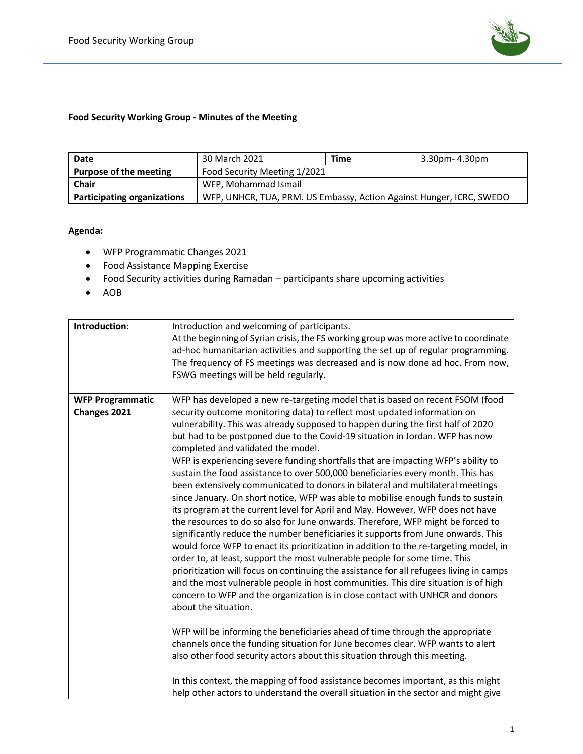

## **Food Security Working Group - Minutes of the Meeting**

| Date                               | 30 March 2021                                                        | Time | 3.30pm- 4.30pm |
|------------------------------------|----------------------------------------------------------------------|------|----------------|
| Purpose of the meeting             | Food Security Meeting 1/2021                                         |      |                |
| <b>Chair</b>                       | WFP. Mohammad Ismail                                                 |      |                |
| <b>Participating organizations</b> | WFP, UNHCR, TUA, PRM. US Embassy, Action Against Hunger, ICRC, SWEDO |      |                |

## **Agenda:**

- WFP Programmatic Changes 2021
- Food Assistance Mapping Exercise
- Food Security activities during Ramadan participants share upcoming activities
- AOB

| Introduction:           | Introduction and welcoming of participants.                                             |  |
|-------------------------|-----------------------------------------------------------------------------------------|--|
|                         | At the beginning of Syrian crisis, the FS working group was more active to coordinate   |  |
|                         | ad-hoc humanitarian activities and supporting the set up of regular programming.        |  |
|                         | The frequency of FS meetings was decreased and is now done ad hoc. From now,            |  |
|                         | FSWG meetings will be held regularly.                                                   |  |
|                         |                                                                                         |  |
| <b>WFP Programmatic</b> | WFP has developed a new re-targeting model that is based on recent FSOM (food           |  |
| Changes 2021            | security outcome monitoring data) to reflect most updated information on                |  |
|                         | vulnerability. This was already supposed to happen during the first half of 2020        |  |
|                         | but had to be postponed due to the Covid-19 situation in Jordan. WFP has now            |  |
|                         | completed and validated the model.                                                      |  |
|                         | WFP is experiencing severe funding shortfalls that are impacting WFP's ability to       |  |
|                         | sustain the food assistance to over 500,000 beneficiaries every month. This has         |  |
|                         | been extensively communicated to donors in bilateral and multilateral meetings          |  |
|                         | since January. On short notice, WFP was able to mobilise enough funds to sustain        |  |
|                         | its program at the current level for April and May. However, WFP does not have          |  |
|                         | the resources to do so also for June onwards. Therefore, WFP might be forced to         |  |
|                         | significantly reduce the number beneficiaries it supports from June onwards. This       |  |
|                         | would force WFP to enact its prioritization in addition to the re-targeting model, in   |  |
|                         | order to, at least, support the most vulnerable people for some time. This              |  |
|                         | prioritization will focus on continuing the assistance for all refugees living in camps |  |
|                         | and the most vulnerable people in host communities. This dire situation is of high      |  |
|                         | concern to WFP and the organization is in close contact with UNHCR and donors           |  |
|                         | about the situation.                                                                    |  |
|                         |                                                                                         |  |
|                         | WFP will be informing the beneficiaries ahead of time through the appropriate           |  |
|                         | channels once the funding situation for June becomes clear. WFP wants to alert          |  |
|                         | also other food security actors about this situation through this meeting.              |  |
|                         |                                                                                         |  |
|                         | In this context, the mapping of food assistance becomes important, as this might        |  |
|                         | help other actors to understand the overall situation in the sector and might give      |  |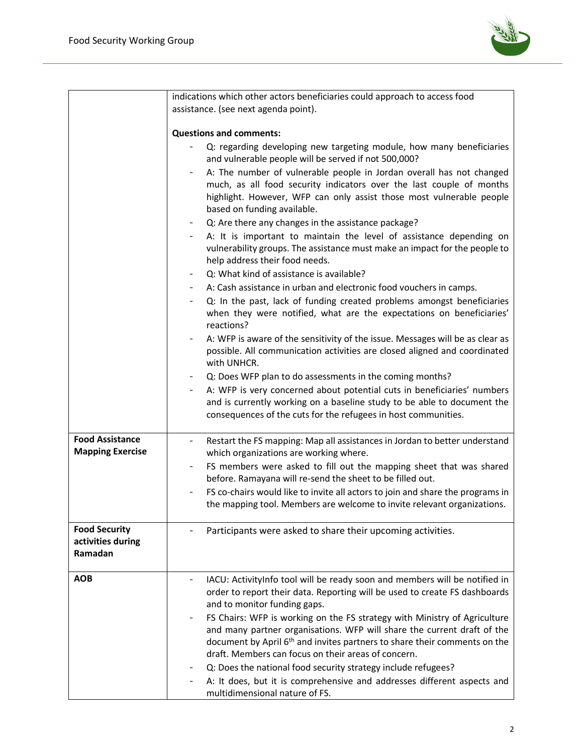

|                                                      | indications which other actors beneficiaries could approach to access food                                                                                                                                                                                                                                                       |  |  |
|------------------------------------------------------|----------------------------------------------------------------------------------------------------------------------------------------------------------------------------------------------------------------------------------------------------------------------------------------------------------------------------------|--|--|
|                                                      | assistance. (see next agenda point).                                                                                                                                                                                                                                                                                             |  |  |
|                                                      | <b>Questions and comments:</b>                                                                                                                                                                                                                                                                                                   |  |  |
|                                                      | Q: regarding developing new targeting module, how many beneficiaries<br>and vulnerable people will be served if not 500,000?                                                                                                                                                                                                     |  |  |
|                                                      | A: The number of vulnerable people in Jordan overall has not changed<br>much, as all food security indicators over the last couple of months<br>highlight. However, WFP can only assist those most vulnerable people<br>based on funding available.                                                                              |  |  |
|                                                      | Q: Are there any changes in the assistance package?                                                                                                                                                                                                                                                                              |  |  |
|                                                      | A: It is important to maintain the level of assistance depending on<br>vulnerability groups. The assistance must make an impact for the people to<br>help address their food needs.                                                                                                                                              |  |  |
|                                                      | Q: What kind of assistance is available?                                                                                                                                                                                                                                                                                         |  |  |
|                                                      | A: Cash assistance in urban and electronic food vouchers in camps.                                                                                                                                                                                                                                                               |  |  |
|                                                      | Q: In the past, lack of funding created problems amongst beneficiaries<br>when they were notified, what are the expectations on beneficiaries'<br>reactions?                                                                                                                                                                     |  |  |
|                                                      | A: WFP is aware of the sensitivity of the issue. Messages will be as clear as<br>possible. All communication activities are closed aligned and coordinated<br>with UNHCR.                                                                                                                                                        |  |  |
|                                                      | Q: Does WFP plan to do assessments in the coming months?                                                                                                                                                                                                                                                                         |  |  |
|                                                      | A: WFP is very concerned about potential cuts in beneficiaries' numbers<br>and is currently working on a baseline study to be able to document the<br>consequences of the cuts for the refugees in host communities.                                                                                                             |  |  |
| <b>Food Assistance</b><br><b>Mapping Exercise</b>    | Restart the FS mapping: Map all assistances in Jordan to better understand<br>which organizations are working where.                                                                                                                                                                                                             |  |  |
|                                                      | FS members were asked to fill out the mapping sheet that was shared<br>before. Ramayana will re-send the sheet to be filled out.                                                                                                                                                                                                 |  |  |
|                                                      | FS co-chairs would like to invite all actors to join and share the programs in<br>the mapping tool. Members are welcome to invite relevant organizations.                                                                                                                                                                        |  |  |
| <b>Food Security</b><br>activities during<br>Ramadan | Participants were asked to share their upcoming activities.                                                                                                                                                                                                                                                                      |  |  |
| <b>AOB</b>                                           | IACU: ActivityInfo tool will be ready soon and members will be notified in<br>order to report their data. Reporting will be used to create FS dashboards<br>and to monitor funding gaps.                                                                                                                                         |  |  |
|                                                      | FS Chairs: WFP is working on the FS strategy with Ministry of Agriculture<br>$\overline{\phantom{a}}$<br>and many partner organisations. WFP will share the current draft of the<br>document by April 6 <sup>th</sup> and invites partners to share their comments on the<br>draft. Members can focus on their areas of concern. |  |  |
|                                                      | Q: Does the national food security strategy include refugees?                                                                                                                                                                                                                                                                    |  |  |
|                                                      | A: It does, but it is comprehensive and addresses different aspects and<br>multidimensional nature of FS.                                                                                                                                                                                                                        |  |  |